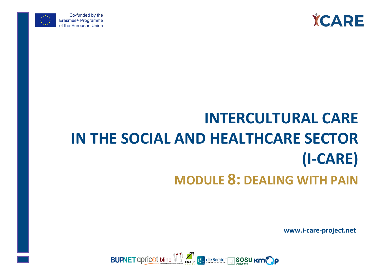



Co-funded by the Erasmus+ Programme of the European Union

# **INTERCULTURAL CARE IN THE SOCIAL AND HEALTHCARE SECTOR (I-CARE) MODULE 8: DEALING WITH PAIN**

**www.i-care-project.net**

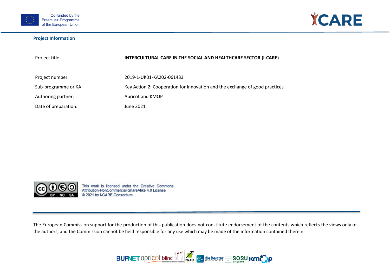



#### **Project Information**

| Project title:       | INTERCULTURAL CARE IN THE SOCIAL AND HEALTHCARE SECTOR (I-CARE)             |
|----------------------|-----------------------------------------------------------------------------|
| Project number:      | 2019-1-UK01-KA202-061433                                                    |
| Sub-programme or KA: | Key Action 2: Cooperation for innovation and the exchange of good practices |
| Authoring partner:   | Apricot and KMOP                                                            |
| Date of preparation: | June 2021                                                                   |



This work is licensed under the Creative Commons Attribution-NonCommercial-ShareAlike 4.0 License @ 2021 by I-CARE Consortium

The European Commission support for the production of this publication does not constitute endorsement of the contents which reflects the views only of the authors, and the Commission cannot be held responsible for any use which may be made of the information contained therein.

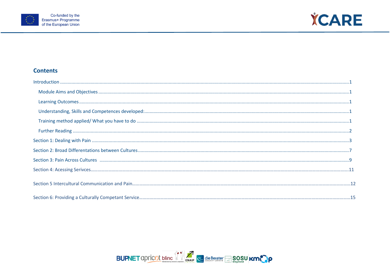



# **Contents**

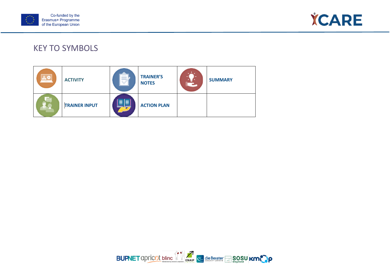



# KEY TO SYMBOLS

| <b>10</b> | <b>ACTIVITY</b>      | ___<br>__<br>____ | <b>TRAINER'S</b><br><b>NOTES</b> | <b>SUMMARY</b> |
|-----------|----------------------|-------------------|----------------------------------|----------------|
|           | <b>TRAINER INPUT</b> | 티티                | <b>ACTION PLAN</b>               |                |

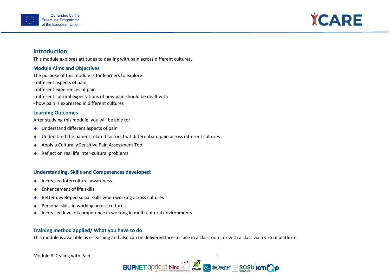



## <span id="page-4-0"></span>**Introduction**

This module explores attitudes to dealing with pain across different cultures.

#### <span id="page-4-1"></span>**Module Aims and Objectives**

The purpose of this module is for learners to explore:

- different aspects of pain
- different experiences of pain
- different cultural expectations of how pain should be dealt with
- how pain is expressed in different cultures

#### <span id="page-4-2"></span>**Learning Outcomes**

After studying this module, you will be able to:

- ♦ Understand different aspects of pain
- Understand the patient related factors that differentiate pain across different cultures
- ♦ Apply a Culturally Sensitive Pain Assessment Tool
- <span id="page-4-3"></span>♦ Reflect on real life inter-cultural problems

#### **Understanding, Skills and Competences developed:**

- Increased Intercultural awareness.
- Enhancement of life skills
- ♦ Better developed social skills when working across cultures
- ♦ Personal skills in working across cultures
- Increased level of competence in working in multi-cultural environments.

#### <span id="page-4-4"></span>**Training method applied/ What you have to do**

This module is available as e-learning and also can be delivered face-to-face in a classroom, or with a class via a virtual platform.

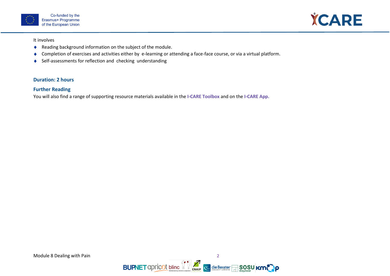



It involves

- ♦ Reading background information on the subject of the module.
- ♦ Completion of exercises and activities either by e-learning or attending a face-face course, or via a virtual platform.
- <span id="page-5-0"></span>♦ Self-assessments for reflection and checking understanding

### **Duration: 2 hours**

#### **Further Reading**

You will also find a range of supporting resource materials available in the **I-CARE Toolbox** and on the **I-CARE App.**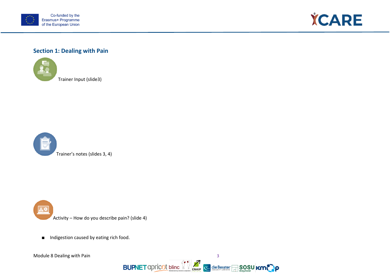



# <span id="page-6-0"></span>**Section 1: Dealing with Pain**



Trainer Input (slide3)



Activity – How do you describe pain? (slide 4)

■ Indigestion caused by eating rich food.

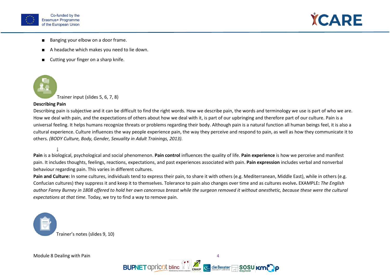



- Banging your elbow on a door frame.
- A headache which makes you need to lie down.
- Cutting your finger on a sharp knife.



Trainer input (slides 5, 6, 7, 8)

#### **Describing Pain**

**:** 

Describing pain is subjective and it can be difficult to find the right words. How we describe pain, the words and terminology we use is part of who we are. How we deal with pain, and the expectations of others about how we deal with it, is part of our upbringing and therefore part of our culture. Pain is a universal feeling. It helps humans recognize threats or problems regarding their body. Although pain is a natural function all human beings feel, it is also a cultural experience. Culture influences the way people experience pain, the way they perceive and respond to pain, as well as how they communicate it to others. *(BODY Culture, Body, Gender, Sexuality in Adult Trainings, 2013).*

**Pain** is a biological, psychological and social phenomenon. **Pain control** influences the quality of life. **Pain experience** is how we perceive and manifest pain. It includes thoughts, feelings, reactions, expectations, and past experiences associated with pain. **Pain expression** includes verbal and nonverbal behaviour regarding pain. This varies in different cultures.

Pain and Culture: In some cultures, individuals tend to express their pain, to share it with others (e.g. Mediterranean, Middle East), while in others (e.g. Confucian cultures) they suppress it and keep it to themselves. Tolerance to pain also changes over time and as cultures evolve**.** EXAMPLE**:** *The English author Fanny Burney in 1808 offered to hold her own cancerous breast while the surgeon removed it without anesthetic, because these were the cultural expectations at that time.* Today, we try to find a way to remove pain.

Trainer's notes (slides 9, 10)

Module 8 Dealing with Pain 4

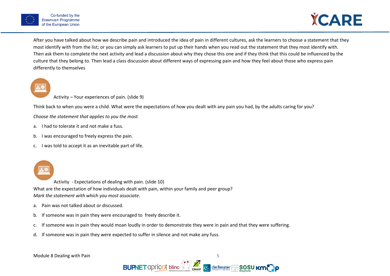



After you have talked about how we describe pain and introduced the idea of pain in different cultures, ask the learners to choose a statement that they most identify with from the list; or you can simply ask learners to put up their hands when you read out the statement that they most identify with. Then ask them to complete the next activity and lead a discussion about why they chose this one and if they think that this could be influenced by the culture that they belong to. Then lead a class discussion about different ways of expressing pain and how they feel about those who express pain differently to themselves



Activity – Your experiences of pain. (slide 9)

Think back to when you were a child. What were the expectations of how you dealt with any pain you had, by the adults caring for you?

*Choose the statement that applies to you the most.*

- a. I had to tolerate it and not make a fuss.
- b. I was encouraged to freely express the pain.
- c. I was told to accept it as an inevitable part of life.

Activity - Expectations of dealing with pain. (slide 10) What are the expectation of how individuals dealt with pain, within your family and peer group? *Mark the statement with which you most associate.* 

- a. Pain was not talked about or discussed.
- b. If someone was in pain they were encouraged to freely describe it.
- c. If someone was in pain they would moan loudly in order to demonstrate they were in pain and that they were suffering.
- d. If someone was in pain they were expected to suffer in silence and not make any fuss.

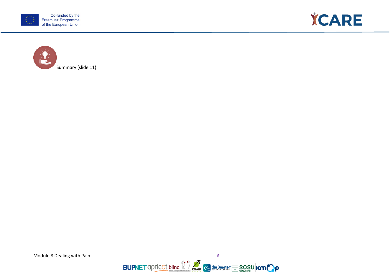





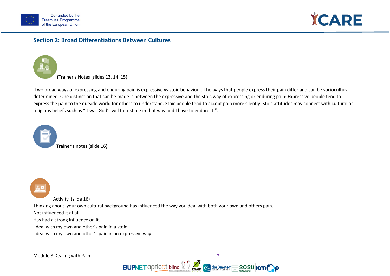



# <span id="page-10-0"></span>**Section 2: Broad Differentiations Between Cultures**

(Trainer's Notes (slides 13, 14, 15)

Two broad ways of expressing and enduring pain is expressive vs stoic behaviour. The ways that people express their pain differ and can be sociocultural determined. One distinction that can be made is between the expressive and the stoic way of expressing or enduring pain: Expressive people tend to express the pain to the outside world for others to understand. Stoic people tend to accept pain more silently. Stoic attitudes may connect with cultural or religious beliefs such as "It was God's will to test me in that way and I have to endure it.".



Activity (slide 16)

Thinking about your own cultural background has influenced the way you deal with both your own and others pain.

Not influenced it at all.

Has had a strong influence on it.

I deal with my own and other's pain in a stoic

I deal with my own and other's pain in an expressive way

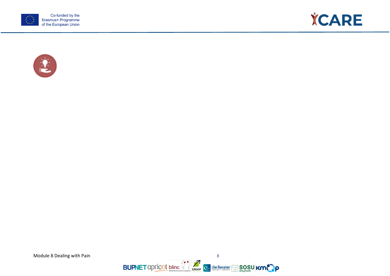





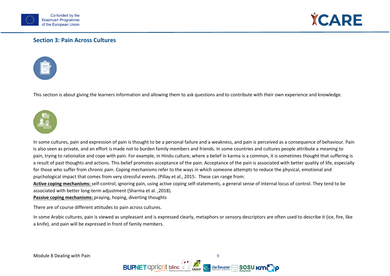



# <span id="page-12-0"></span>**Section 3: Pain Across Cultures**



This section is about giving the learners information and allowing them to ask questions and to contribute with their own experience and knowledge.



In some cultures, pain and expression of pain is thought to be a personal failure and a weakness, and pain is perceived as a consequence of behaviour. Pain is also seen as private, and an effort is made not to burden family members and friends. In some countries and cultures people attribute a meaning to pain, trying to rationalize and cope with pain. For example, in Hindu culture, where a belief in karma is a common, it is sometimes thought that suffering is a result of past thoughts and actions. This belief promotes acceptance of the pain. Acceptance of the pain is associated with better quality of life, especially for those who suffer from chronic pain. Coping mechanisms refer to the ways in which someone attempts to reduce the physical, emotional and psychological impact that comes from very stressful events. (Pillay et al., 2015). These can range from:

**Active coping mechanisms:** self-control, ignoring pain, using active coping self-statements, a general sense of internal locus of control. They tend to be associated with better long-term adjustment (Sharma et al. ,2018).

**Passive coping mechanisms:** praying, hoping, diverting thoughts

There are of course different attitudes to pain across cultures.

In some Arabic cultures, pain is viewed as unpleasant and is expressed clearly, metaphors or sensory descriptors are often used to describe it (ice, fire, like a knife), and pain will be expressed in front of family members.

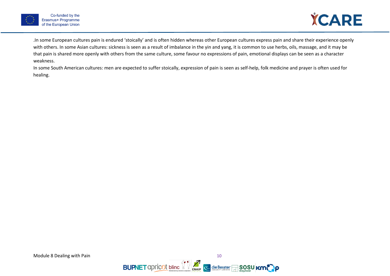



.In some European cultures pain is endured 'stoically' and is often hidden whereas other European cultures express pain and share their experience openly with others. In some Asian cultures: sickness is seen as a result of imbalance in the yin and yang, it is common to use herbs, oils, massage, and it may be that pain is shared more openly with others from the same culture, some favour no expressions of pain, emotional displays can be seen as a character weakness.

In some South American cultures: men are expected to suffer stoically, expression of pain is seen as self-help, folk medicine and prayer is often used for healing.

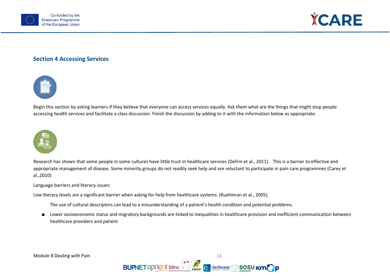



# **Section 4 Accessing Services**



Begin this section by asking learners if they believe that everyone can access services equally. Ask them what are the things that might stop people accessing health services and facilitate a class discussion. Finish the discussion by adding to it with the information below as appropriate.



Research has shown that some people in some cultures have little trust in healthcare services (Defrin et al., 2011) . This is a barrier to effective and appropriate management of disease. Some minority groups do not readily seek help and are reluctant to participate in pain care programmes (Carey et al.,2010)

Language barriers and literacy issues:

Low literacy levels are a significant barrier when asking for help from healthcare systems. (Ruehlman et al., 2005).

The use of cultural descriptors can lead to a misunderstanding of a patient's health condition and potential problems.

■ Lower socioeconomic status and migratory backgrounds are linked to inequalities in healthcare provision and inefficient communication between healthcare providers and patient



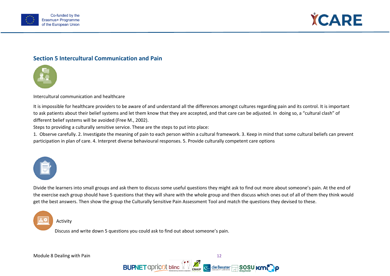



# **Section 5 Intercultural Communication and Pain**



#### Intercultural communication and healthcare

It is impossible for healthcare providers to be aware of and understand all the differences amongst cultures regarding pain and its control. It is important to ask patients about their belief systems and let them know that they are accepted, and that care can be adjusted. In doing so, a "cultural clash" of different belief systems will be avoided (Free M., 2002).

Steps to providing a culturally sensitive service. These are the steps to put into place:

1. Observe carefully. 2. Investigate the meaning of pain to each person within a cultural framework. 3. Keep in mind that some cultural beliefs can prevent participation in plan of care. 4. Interpret diverse behavioural responses. 5. Provide culturally competent care options



Divide the learners into small groups and ask them to discuss some useful questions they might ask to find out more about someone's pain. At the end of the exercise each group should have 5 questions that they will share with the whole group and then discuss which ones out of all of them they think would get the best answers. Then show the group the Culturally Sensitive Pain Assessment Tool and match the questions they devised to these.

Activity

Discuss and write down 5 questions you could ask to find out about someone's pain.

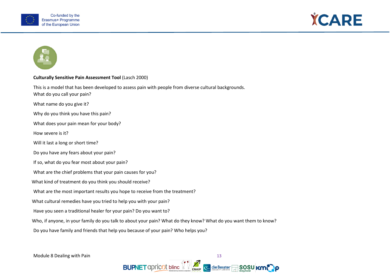





#### **Culturally Sensitive Pain Assessment Tool** (Lasch 2000)

This is a model that has been developed to assess pain with people from diverse cultural backgrounds. What do you call your pain?

What name do you give it?

Why do you think you have this pain?

What does your pain mean for your body?

How severe is it?

Will it last a long or short time?

Do you have any fears about your pain?

If so, what do you fear most about your pain?

What are the chief problems that your pain causes for you?

What kind of treatment do you think you should receive?

What are the most important results you hope to receive from the treatment?

What cultural remedies have you tried to help you with your pain?

Have you seen a traditional healer for your pain? Do you want to?

Who, if anyone, in your family do you talk to about your pain? What do they know? What do you want them to know?

Do you have family and friends that help you because of your pain? Who helps you?

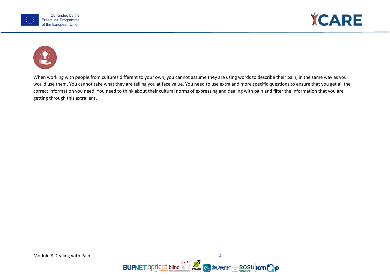





When working with people from cultures different to your own, you cannot assume they are using words to describe their pain, in the same way as you would use them. You cannot take what they are telling you at face value. You need to use extra and more specific questions to ensure that you get all the correct information you need. You need to think about their cultural norms of expressing and dealing with pain and filter the information that you are getting through this extra lens.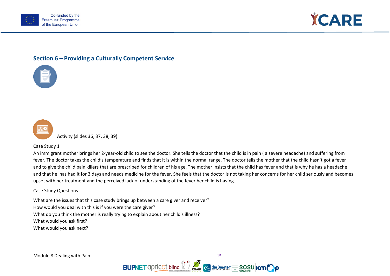



# **Section 6 – Providing a Culturally Competent Service**





Activity (slides 36, 37, 38, 39)

Case Study 1

An immigrant mother brings her 2-year-old child to see the doctor. She tells the doctor that the child is in pain ( a severe headache) and suffering from fever. The doctor takes the child's temperature and finds that it is within the normal range. The doctor tells the mother that the child hasn't got a fever and to give the child pain killers that are prescribed for children of his age. The mother insists that the child has fever and that is why he has a headache and that he has had it for 3 days and needs medicine for the fever. She feels that the doctor is not taking her concerns for her child seriously and becomes upset with her treatment and the perceived lack of understanding of the fever her child is having.

#### Case Study Questions

What are the issues that this case study brings up between a care giver and receiver? How would you deal with this is if you were the care giver? What do you think the mother is really trying to explain about her child's illness? What would you ask first? What would you ask next?

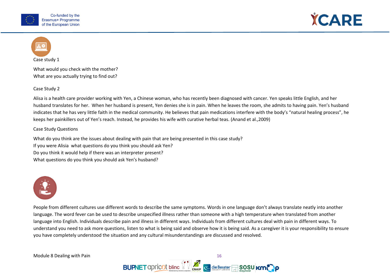





What would you check with the mother? What are you actually trying to find out?

Case Study 2

Alisa is a health care provider working with Yen, a Chinese woman, who has recently been diagnosed with cancer. Yen speaks little English, and her husband translates for her. When her husband is present, Yen denies she is in pain. When he leaves the room, she admits to having pain. Yen's husband indicates that he has very little faith in the medical community. He believes that pain medications interfere with the body's "natural healing process", he keeps her painkillers out of Yen's reach. Instead, he provides his wife with curative herbal teas. (Anand et al.,2009)

#### Case Study Questions

What do you think are the issues about dealing with pain that are being presented in this case study? If you were Alisia what questions do you think you should ask Yen? Do you think it would help if there was an interpreter present? What questions do you think you should ask Yen's husband?



People from different cultures use different words to describe the same symptoms. Words in one language don't always translate neatly into another language. The word fever can be used to describe unspecified illness rather than someone with a high temperature when translated from another language into English. Individuals describe pain and illness in different ways. Individuals from different cultures deal with pain in different ways. To understand you need to ask more questions, listen to what is being said and observe how it is being said. As a caregiver it is your responsibility to ensure you have completely understood the situation and any cultural misunderstandings are discussed and resolved.